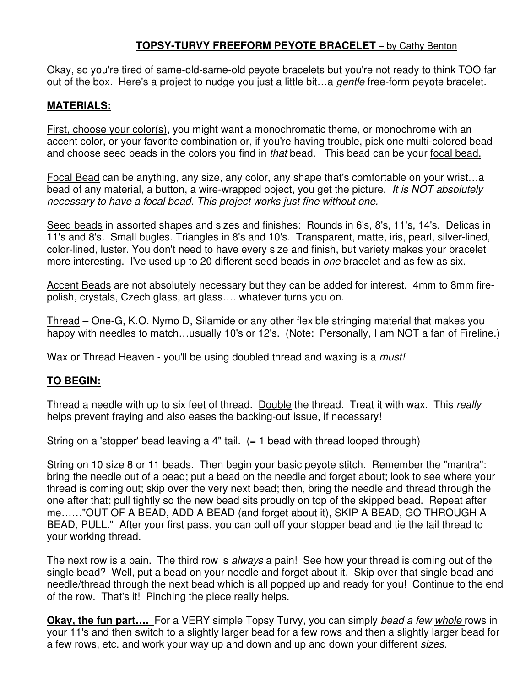## **TOPSY-TURVY FREEFORM PEYOTE BRACELET** – by Cathy Benton

Okay, so you're tired of same-old-same-old peyote bracelets but you're not ready to think TOO far out of the box. Here's a project to nudge you just a little bit…a gentle free-form peyote bracelet.

## **MATERIALS:**

First, choose your color(s), you might want a monochromatic theme, or monochrome with an accent color, or your favorite combination or, if you're having trouble, pick one multi-colored bead and choose seed beads in the colors you find in that bead. This bead can be your focal bead.

Focal Bead can be anything, any size, any color, any shape that's comfortable on your wrist…a bead of any material, a button, a wire-wrapped object, you get the picture. It is NOT absolutely necessary to have a focal bead. This project works just fine without one.

Seed beads in assorted shapes and sizes and finishes: Rounds in 6's, 8's, 11's, 14's. Delicas in 11's and 8's. Small bugles. Triangles in 8's and 10's. Transparent, matte, iris, pearl, silver-lined, color-lined, luster. You don't need to have every size and finish, but variety makes your bracelet more interesting. I've used up to 20 different seed beads in *one* bracelet and as few as six.

Accent Beads are not absolutely necessary but they can be added for interest. 4mm to 8mm firepolish, crystals, Czech glass, art glass…. whatever turns you on.

Thread – One-G, K.O. Nymo D, Silamide or any other flexible stringing material that makes you happy with needles to match...usually 10's or 12's. (Note: Personally, I am NOT a fan of Fireline.)

Wax or Thread Heaven - you'll be using doubled thread and waxing is a *must!* 

## **TO BEGIN:**

Thread a needle with up to six feet of thread. Double the thread. Treat it with wax. This really helps prevent fraying and also eases the backing-out issue, if necessary!

String on a 'stopper' bead leaving a 4" tail.  $(= 1 \text{ bead with thread looped through})$ 

String on 10 size 8 or 11 beads. Then begin your basic peyote stitch. Remember the "mantra": bring the needle out of a bead; put a bead on the needle and forget about; look to see where your thread is coming out; skip over the very next bead; then, bring the needle and thread through the one after that; pull tightly so the new bead sits proudly on top of the skipped bead. Repeat after me……"OUT OF A BEAD, ADD A BEAD (and forget about it), SKIP A BEAD, GO THROUGH A BEAD, PULL." After your first pass, you can pull off your stopper bead and tie the tail thread to your working thread.

The next row is a pain. The third row is always a pain! See how your thread is coming out of the single bead? Well, put a bead on your needle and forget about it. Skip over that single bead and needle/thread through the next bead which is all popped up and ready for you! Continue to the end of the row. That's it! Pinching the piece really helps.

**Okay, the fun part....** For a VERY simple Topsy Turvy, you can simply bead a few *whole* rows in your 11's and then switch to a slightly larger bead for a few rows and then a slightly larger bead for a few rows, etc. and work your way up and down and up and down your different sizes.